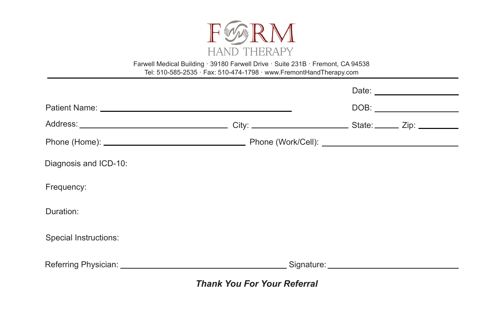

Farwell Medical Building · 39180 Farwell Drive · Suite 231B · Fremont, CA 94538 Tel: 510-585-2535 · Fax: 510-474-1798 · www.FremontHandTherapy.com

| Diagnosis and ICD-10: |  |  |
|-----------------------|--|--|
| Frequency:            |  |  |
| Duration:             |  |  |
| Special Instructions: |  |  |
|                       |  |  |
|                       |  |  |

*Thank You For Your Referral*